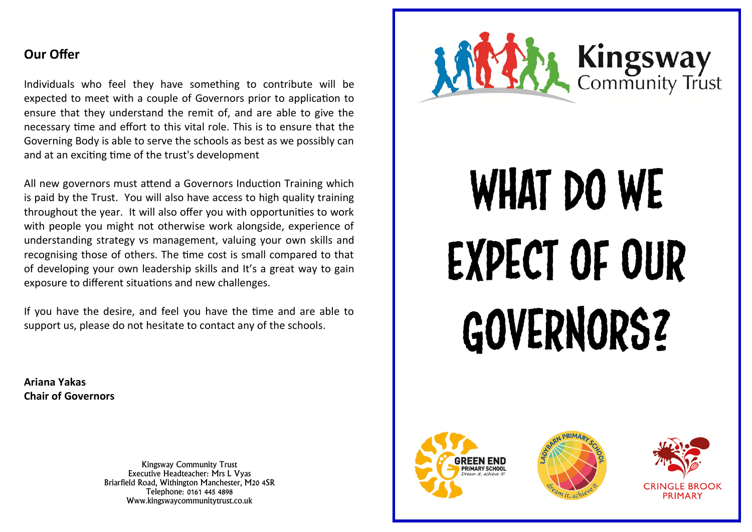## **Our Offer**

Individuals who feel they have something to contribute will be expected to meet with a couple of Governors prior to application to ensure that they understand the remit of, and are able to give the necessary time and effort to this vital role. This is to ensure that the Governing Body is able to serve the schools as best as we possibly can and at an exciting time of the trust's development

All new governors must attend a Governors Induction Training which is paid by the Trust. You will also have access to high quality training throughout the year. It will also offer you with opportunities to work with people you might not otherwise work alongside, experience of understanding strategy vs management, valuing your own skills and recognising those of others. The time cost is small compared to that of developing your own leadership skills and It's a great way to gain exposure to different situations and new challenges.

If you have the desire, and feel you have the time and are able to support us, please do not hesitate to contact any of the schools.

**Ariana Yakas Chair of Governors**

> Kingsway Community Trust Executive Headteacher: Mrs L Vyas Briarfield Road, Withington Manchester, M20 4SR Telephone: 0161 445 4898 Www.kingswaycommunitytrust.co.uk



## WHAT DO WE Expect of Our GOVERNORS?